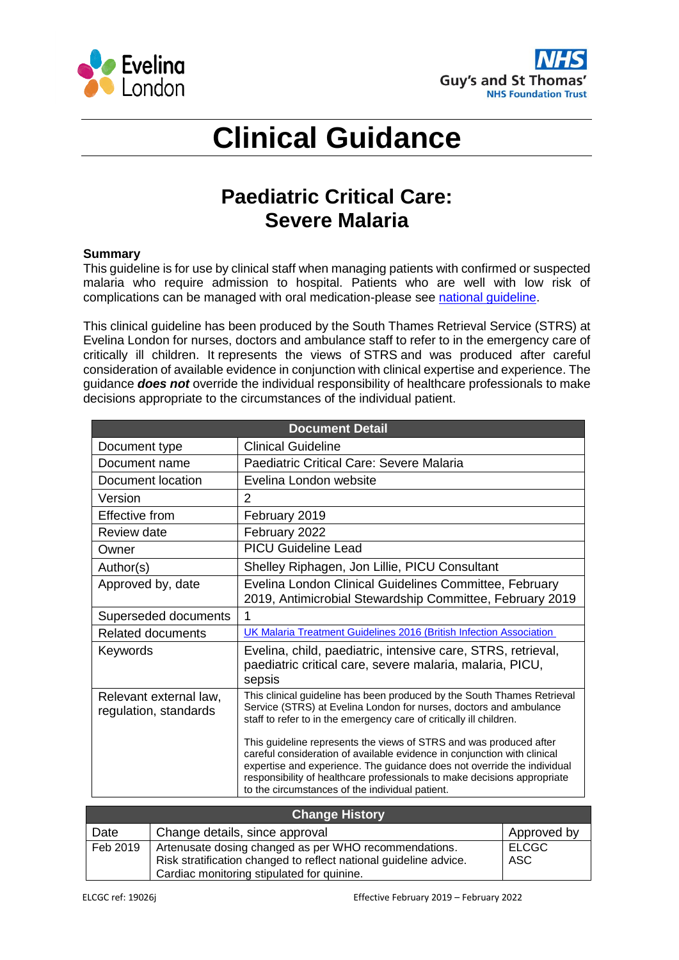



## **Clinical Guidance**

## **Paediatric Critical Care: Severe Malaria**

## **Summary**

This guideline is for use by clinical staff when managing patients with confirmed or suspected malaria who require admission to hospital. Patients who are well with low risk of complications can be managed with oral medication-please see [national guideline.](https://www.journalofinfection.com/article/S0163-4453(16)00047-5/pdf)

This clinical guideline has been produced by the South Thames Retrieval Service (STRS) at Evelina London for nurses, doctors and ambulance staff to refer to in the emergency care of critically ill children. It represents the views of STRS and was produced after careful consideration of available evidence in conjunction with clinical expertise and experience. The guidance *does not* override the individual responsibility of healthcare professionals to make decisions appropriate to the circumstances of the individual patient.

| <b>Document Detail</b>                          |                                                                                                                                                                                                                                                                                                                                                          |  |
|-------------------------------------------------|----------------------------------------------------------------------------------------------------------------------------------------------------------------------------------------------------------------------------------------------------------------------------------------------------------------------------------------------------------|--|
| Document type                                   | <b>Clinical Guideline</b>                                                                                                                                                                                                                                                                                                                                |  |
| Document name                                   | Paediatric Critical Care: Severe Malaria                                                                                                                                                                                                                                                                                                                 |  |
| Document location                               | Evelina London website                                                                                                                                                                                                                                                                                                                                   |  |
| Version                                         | 2                                                                                                                                                                                                                                                                                                                                                        |  |
| Effective from                                  | February 2019                                                                                                                                                                                                                                                                                                                                            |  |
| Review date                                     | February 2022                                                                                                                                                                                                                                                                                                                                            |  |
| Owner                                           | <b>PICU Guideline Lead</b>                                                                                                                                                                                                                                                                                                                               |  |
| Author(s)                                       | Shelley Riphagen, Jon Lillie, PICU Consultant                                                                                                                                                                                                                                                                                                            |  |
| Approved by, date                               | Evelina London Clinical Guidelines Committee, February<br>2019, Antimicrobial Stewardship Committee, February 2019                                                                                                                                                                                                                                       |  |
| Superseded documents                            | 1                                                                                                                                                                                                                                                                                                                                                        |  |
| <b>Related documents</b>                        | UK Malaria Treatment Guidelines 2016 (British Infection Association                                                                                                                                                                                                                                                                                      |  |
| Keywords                                        | Evelina, child, paediatric, intensive care, STRS, retrieval,<br>paediatric critical care, severe malaria, malaria, PICU,<br>sepsis                                                                                                                                                                                                                       |  |
| Relevant external law,<br>regulation, standards | This clinical guideline has been produced by the South Thames Retrieval<br>Service (STRS) at Evelina London for nurses, doctors and ambulance<br>staff to refer to in the emergency care of critically ill children.                                                                                                                                     |  |
|                                                 | This guideline represents the views of STRS and was produced after<br>careful consideration of available evidence in conjunction with clinical<br>expertise and experience. The guidance does not override the individual<br>responsibility of healthcare professionals to make decisions appropriate<br>to the circumstances of the individual patient. |  |

| <b>Change History</b> |                                                                                                                                                                          |                     |
|-----------------------|--------------------------------------------------------------------------------------------------------------------------------------------------------------------------|---------------------|
| Date                  | Change details, since approval                                                                                                                                           | Approved by         |
| Feb 2019              | Artenusate dosing changed as per WHO recommendations.<br>Risk stratification changed to reflect national guideline advice.<br>Cardiac monitoring stipulated for quinine. | <b>ELCGC</b><br>ASC |